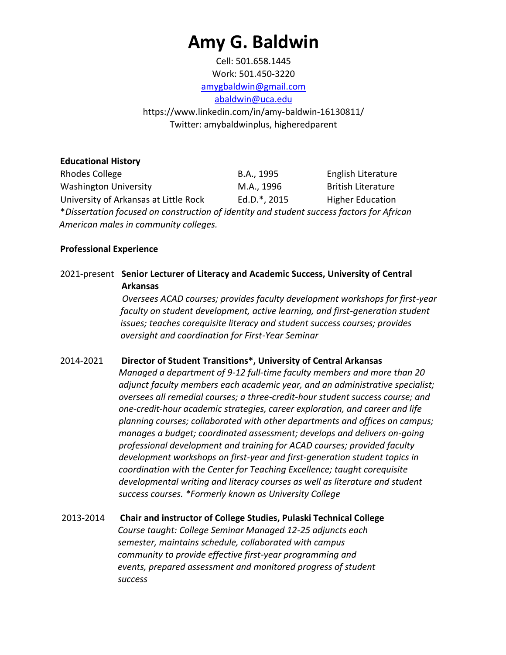# **Amy G. Baldwin**

Cell: 501.658.1445 Work: 501.450-3220 amygbaldwin@gmail.com

abaldwin@uca.edu

https://www.linkedin.com/in/amy-baldwin-16130811/ Twitter: amybaldwinplus, higheredparent

**Educational History**  Rhodes College The B.A., 1995 English Literature Washington University The M.A., 1996 British Literature University of Arkansas at Little Rock Ed.D.\*, 2015 Higher Education \**Dissertation focused on construction of identity and student success factors for African American males in community colleges.* 

## **Professional Experience**

# 2021-present **Senior Lecturer of Literacy and Academic Success, University of Central Arkansas**

*Oversees ACAD courses; provides faculty development workshops for first-year faculty on student development, active learning, and first-generation student issues; teaches corequisite literacy and student success courses; provides oversight and coordination for First-Year Seminar*

# 2014-2021 **Director of Student Transitions\*, University of Central Arkansas**

*Managed a department of 9-12 full-time faculty members and more than 20 adjunct faculty members each academic year, and an administrative specialist; oversees all remedial courses; a three-credit-hour student success course; and one-credit-hour academic strategies, career exploration, and career and life planning courses; collaborated with other departments and offices on campus; manages a budget; coordinated assessment; develops and delivers on-going professional development and training for ACAD courses; provided faculty development workshops on first-year and first-generation student topics in coordination with the Center for Teaching Excellence; taught corequisite developmental writing and literacy courses as well as literature and student success courses. \*Formerly known as University College* 

2013-2014 **Chair and instructor of College Studies, Pulaski Technical College** *Course taught: College Seminar Managed 12-25 adjuncts each semester, maintains schedule, collaborated with campus community to provide effective first-year programming and events, prepared assessment and monitored progress of student success*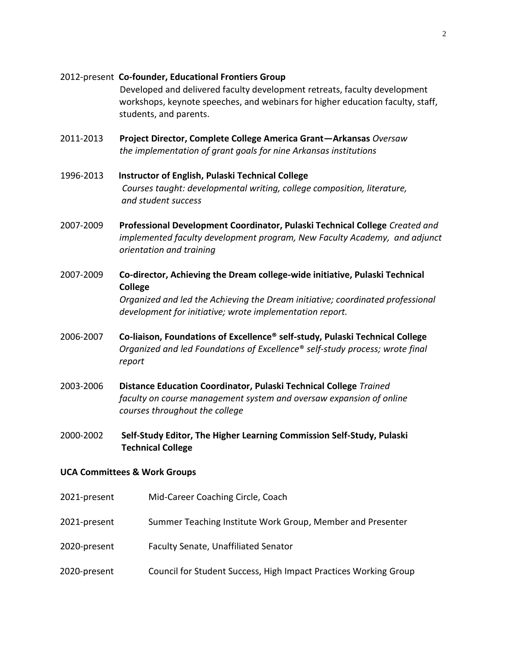#### 2012-present **Co-founder, Educational Frontiers Group**

Developed and delivered faculty development retreats, faculty development workshops, keynote speeches, and webinars for higher education faculty, staff, students, and parents.

- 2011-2013 **Project Director, Complete College America Grant—Arkansas** *Oversaw the implementation of grant goals for nine Arkansas institutions*
- 1996-2013 **Instructor of English, Pulaski Technical College**  *Courses taught: developmental writing, college composition, literature, and student success*
- 2007-2009 **Professional Development Coordinator, Pulaski Technical College** *Created and implemented faculty development program, New Faculty Academy, and adjunct orientation and training*
- 2007-2009 **Co-director, Achieving the Dream college-wide initiative, Pulaski Technical College**  *Organized and led the Achieving the Dream initiative; coordinated professional development for initiative; wrote implementation report.*
- 2006-2007 **Co-liaison, Foundations of Excellence® self-study, Pulaski Technical College**  *Organized and led Foundations of Excellence*® *self-study process; wrote final report*
- 2003-2006 **Distance Education Coordinator, Pulaski Technical College** *Trained faculty on course management system and oversaw expansion of online courses throughout the college*
- 2000-2002 **Self-Study Editor, The Higher Learning Commission Self-Study, Pulaski Technical College**

#### **UCA Committees & Work Groups**

- 2021-present Mid-Career Coaching Circle, Coach
- 2021-present Summer Teaching Institute Work Group, Member and Presenter
- 2020-present Faculty Senate, Unaffiliated Senator
- 2020-present Council for Student Success, High Impact Practices Working Group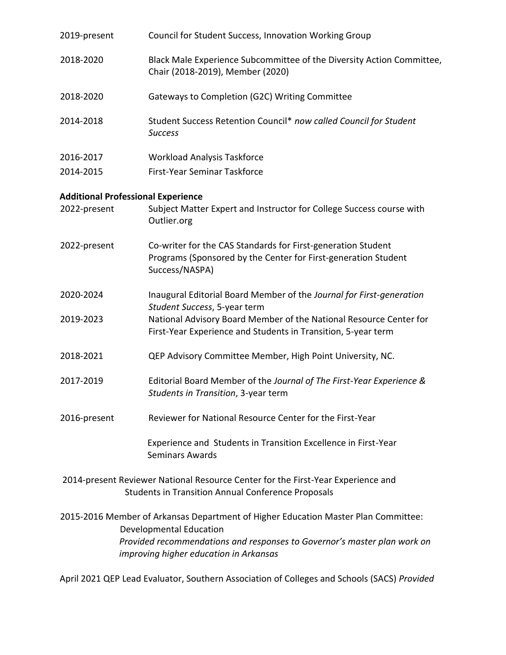| 2019-present | Council for Student Success, Innovation Working Group                                                                                            |
|--------------|--------------------------------------------------------------------------------------------------------------------------------------------------|
| 2018-2020    | Black Male Experience Subcommittee of the Diversity Action Committee,<br>Chair (2018-2019), Member (2020)                                        |
| 2018-2020    | Gateways to Completion (G2C) Writing Committee                                                                                                   |
| 2014-2018    | Student Success Retention Council* now called Council for Student<br><b>Success</b>                                                              |
| 2016-2017    | <b>Workload Analysis Taskforce</b>                                                                                                               |
| 2014-2015    | First-Year Seminar Taskforce                                                                                                                     |
|              | <b>Additional Professional Experience</b>                                                                                                        |
| 2022-present | Subject Matter Expert and Instructor for College Success course with<br>Outlier.org                                                              |
| 2022-present | Co-writer for the CAS Standards for First-generation Student<br>Programs (Sponsored by the Center for First-generation Student<br>Success/NASPA) |
| 2020-2024    | Inaugural Editorial Board Member of the Journal for First-generation<br>Student Success, 5-year term                                             |
| 2019-2023    | National Advisory Board Member of the National Resource Center for<br>First-Year Experience and Students in Transition, 5-year term              |
| 2018-2021    | QEP Advisory Committee Member, High Point University, NC.                                                                                        |
| 2017-2019    | Editorial Board Member of the Journal of The First-Year Experience &<br>Students in Transition, 3-year term                                      |
| 2016-present | Reviewer for National Resource Center for the First-Year                                                                                         |
|              | Experience and Students in Transition Excellence in First-Year<br><b>Seminars Awards</b>                                                         |
|              | 2014-present Reviewer National Resource Center for the First-Year Experience and<br><b>Students in Transition Annual Conference Proposals</b>    |
|              | 2015-2016 Member of Arkansas Department of Higher Education Master Plan Committee:<br><b>Developmental Education</b>                             |
|              | Provided recommendations and responses to Governor's master plan work on<br>improving higher education in Arkansas                               |

April 2021 QEP Lead Evaluator, Southern Association of Colleges and Schools (SACS) *Provided*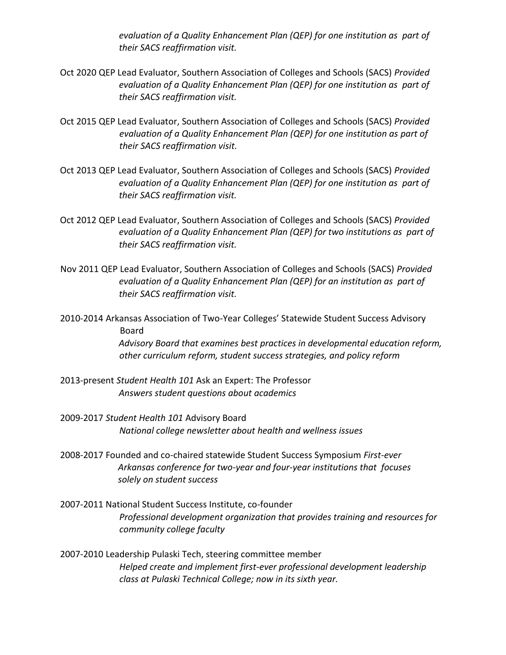*evaluation of a Quality Enhancement Plan (QEP) for one institution as part of their SACS reaffirmation visit.* 

- Oct 2020 QEP Lead Evaluator, Southern Association of Colleges and Schools (SACS) *Provided evaluation of a Quality Enhancement Plan (QEP) for one institution as part of their SACS reaffirmation visit.*
- Oct 2015 QEP Lead Evaluator, Southern Association of Colleges and Schools (SACS) *Provided evaluation of a Quality Enhancement Plan (QEP) for one institution as part of their SACS reaffirmation visit.*
- Oct 2013 QEP Lead Evaluator, Southern Association of Colleges and Schools (SACS) *Provided evaluation of a Quality Enhancement Plan (QEP) for one institution as part of their SACS reaffirmation visit.*
- Oct 2012 QEP Lead Evaluator, Southern Association of Colleges and Schools (SACS) *Provided evaluation of a Quality Enhancement Plan (QEP) for two institutions as part of their SACS reaffirmation visit.*
- Nov 2011 QEP Lead Evaluator, Southern Association of Colleges and Schools (SACS) *Provided evaluation of a Quality Enhancement Plan (QEP) for an institution as part of their SACS reaffirmation visit.*
- 2010-2014 Arkansas Association of Two-Year Colleges' Statewide Student Success Advisory Board

*Advisory Board that examines best practices in developmental education reform, other curriculum reform, student success strategies, and policy reform* 

- 2013-present *Student Health 101* Ask an Expert: The Professor *Answers student questions about academics*
- 2009-2017 *Student Health 101* Advisory Board *National college newsletter about health and wellness issues*
- 2008-2017 Founded and co-chaired statewide Student Success Symposium *First-ever Arkansas conference for two-year and four-year institutions that focuses solely on student success*
- 2007-2011 National Student Success Institute, co-founder *Professional development organization that provides training and resources for community college faculty*
- 2007-2010 Leadership Pulaski Tech, steering committee member *Helped create and implement first-ever professional development leadership class at Pulaski Technical College; now in its sixth year.*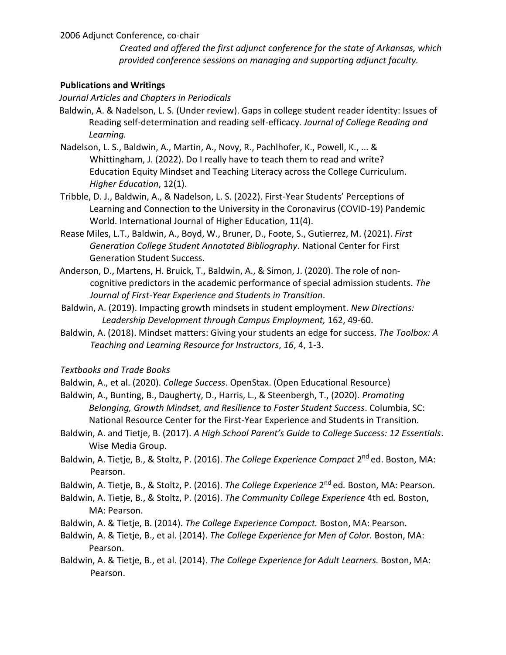2006 Adjunct Conference, co-chair

*Created and offered the first adjunct conference for the state of Arkansas, which provided conference sessions on managing and supporting adjunct faculty.* 

#### **Publications and Writings**

*Journal Articles and Chapters in Periodicals* 

- Baldwin, A. & Nadelson, L. S. (Under review). Gaps in college student reader identity: Issues of Reading self-determination and reading self-efficacy. *Journal of College Reading and Learning.*
- Nadelson, L. S., Baldwin, A., Martin, A., Novy, R., Pachlhofer, K., Powell, K., ... & Whittingham, J. (2022). Do I really have to teach them to read and write? Education Equity Mindset and Teaching Literacy across the College Curriculum. *Higher Education*, 12(1).
- Tribble, D. J., Baldwin, A., & Nadelson, L. S. (2022). First-Year Students' Perceptions of Learning and Connection to the University in the Coronavirus (COVID-19) Pandemic World. International Journal of Higher Education, 11(4).
- Rease Miles, L.T., Baldwin, A., Boyd, W., Bruner, D., Foote, S., Gutierrez, M. (2021). *First Generation College Student Annotated Bibliography*. National Center for First Generation Student Success.
- Anderson, D., Martens, H. Bruick, T., Baldwin, A., & Simon, J. (2020). The role of noncognitive predictors in the academic performance of special admission students. *The Journal of First-Year Experience and Students in Transition*.
- Baldwin, A. (2019). Impacting growth mindsets in student employment. *New Directions: Leadership Development through Campus Employment,* 162, 49-60.
- Baldwin, A. (2018). Mindset matters: Giving your students an edge for success. *The Toolbox: A Teaching and Learning Resource for Instructors*, *16*, 4, 1-3.

*Textbooks and Trade Books* 

- Baldwin, A., et al. (2020). *College Success*. OpenStax. (Open Educational Resource)
- Baldwin, A., Bunting, B., Daugherty, D., Harris, L., & Steenbergh, T., (2020). *Promoting Belonging, Growth Mindset, and Resilience to Foster Student Success*. Columbia, SC: National Resource Center for the First-Year Experience and Students in Transition.
- Baldwin, A. and Tietje, B. (2017). *A High School Parent's Guide to College Success: 12 Essentials*. Wise Media Group.
- Baldwin, A. Tietje, B., & Stoltz, P. (2016). The College Experience Compact 2<sup>nd</sup> ed. Boston, MA: Pearson.

Baldwin, A. Tietje, B., & Stoltz, P. (2016). *The College Experience* 2 nd ed*.* Boston, MA: Pearson.

- Baldwin, A. Tietje, B., & Stoltz, P. (2016). *The Community College Experience* 4th ed*.* Boston, MA: Pearson.
- Baldwin, A. & Tietje, B. (2014). *The College Experience Compact.* Boston, MA: Pearson.
- Baldwin, A. & Tietje, B., et al. (2014). *The College Experience for Men of Color.* Boston, MA: Pearson.
- Baldwin, A. & Tietje, B., et al. (2014). *The College Experience for Adult Learners.* Boston, MA: Pearson.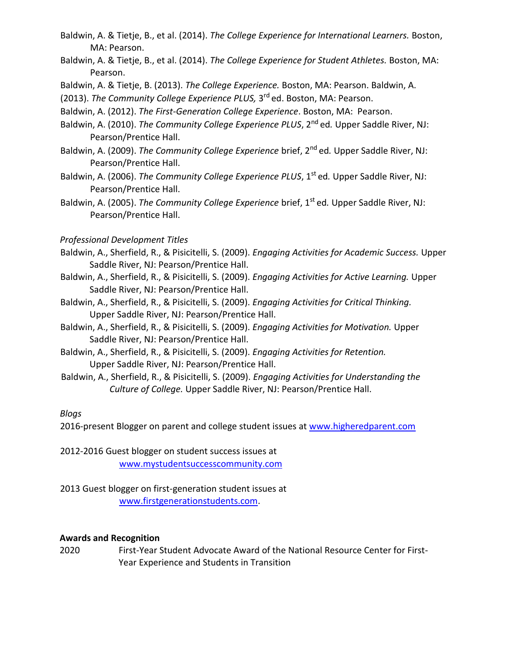- Baldwin, A. & Tietje, B., et al. (2014). *The College Experience for International Learners.* Boston, MA: Pearson.
- Baldwin, A. & Tietje, B., et al. (2014). *The College Experience for Student Athletes.* Boston, MA: Pearson.
- Baldwin, A. & Tietje, B. (2013). *The College Experience.* Boston, MA: Pearson. Baldwin, A.
- (2013). The Community College Experience PLUS, 3<sup>rd</sup> ed. Boston, MA: Pearson.
- Baldwin, A. (2012). *The First-Generation College Experience*. Boston, MA: Pearson.
- Baldwin, A. (2010). *The Community College Experience PLUS*, 2<sup>nd</sup> ed. Upper Saddle River, NJ: Pearson/Prentice Hall.
- Baldwin, A. (2009). *The Community College Experience* brief, 2<sup>nd</sup> ed. Upper Saddle River, NJ: Pearson/Prentice Hall.
- Baldwin, A. (2006). *The Community College Experience PLUS*, 1<sup>st</sup> ed. Upper Saddle River, NJ: Pearson/Prentice Hall.
- Baldwin, A. (2005). *The Community College Experience* brief, 1<sup>st</sup> ed. Upper Saddle River, NJ: Pearson/Prentice Hall.

# *Professional Development Titles*

- Baldwin, A., Sherfield, R., & Pisicitelli, S. (2009). *Engaging Activities for Academic Success.* Upper Saddle River, NJ: Pearson/Prentice Hall.
- Baldwin, A., Sherfield, R., & Pisicitelli, S. (2009). *Engaging Activities for Active Learning.* Upper Saddle River, NJ: Pearson/Prentice Hall.
- Baldwin, A., Sherfield, R., & Pisicitelli, S. (2009). *Engaging Activities for Critical Thinking.*  Upper Saddle River, NJ: Pearson/Prentice Hall.
- Baldwin, A., Sherfield, R., & Pisicitelli, S. (2009). *Engaging Activities for Motivation.* Upper Saddle River, NJ: Pearson/Prentice Hall.
- Baldwin, A., Sherfield, R., & Pisicitelli, S. (2009). *Engaging Activities for Retention.*  Upper Saddle River, NJ: Pearson/Prentice Hall.
- Baldwin, A., Sherfield, R., & Pisicitelli, S. (2009). *Engaging Activities for Understanding the Culture of College.* Upper Saddle River, NJ: Pearson/Prentice Hall.

# *Blogs*

2016-present Blogger on parent and college student issues at www.higheredparent.com

- 2012-2016 Guest blogger on student success issues at www.mystudentsuccesscommunity.com
- 2013 Guest blogger on first-generation student issues at www.firstgenerationstudents.com.

# **Awards and Recognition**

2020 First-Year Student Advocate Award of the National Resource Center for First-Year Experience and Students in Transition